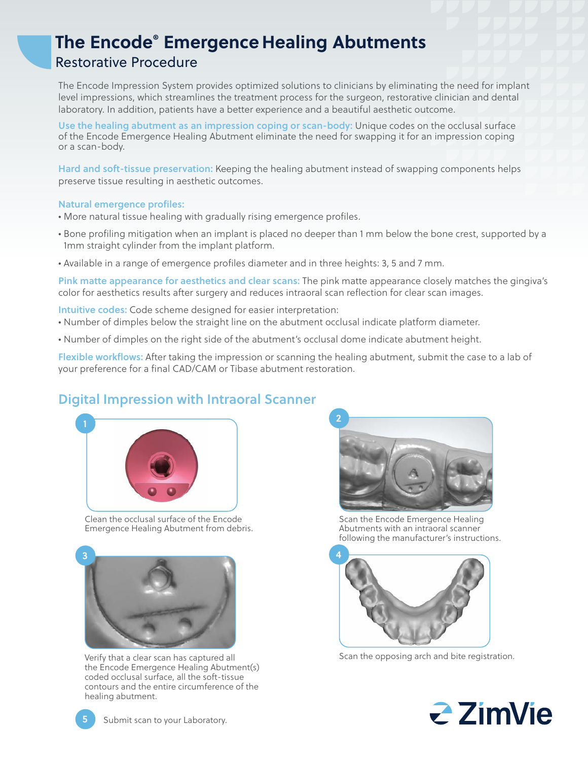# **The Encode® Emergence Healing Abutments** Restorative Procedure

The Encode Impression System provides optimized solutions to clinicians by eliminating the need for implant level impressions, which streamlines the treatment process for the surgeon, restorative clinician and dental laboratory. In addition, patients have a better experience and a beautiful aesthetic outcome.

Use the healing abutment as an impression coping or scan-body: Unique codes on the occlusal surface of the Encode Emergence Healing Abutment eliminate the need for swapping it for an impression coping or a scan-body.

Hard and soft-tissue preservation: Keeping the healing abutment instead of swapping components helps preserve tissue resulting in aesthetic outcomes.

#### Natural emergence profiles:

- More natural tissue healing with gradually rising emergence profiles.
- Bone profiling mitigation when an implant is placed no deeper than 1 mm below the bone crest, supported by a 1mm straight cylinder from the implant platform.
- Available in a range of emergence profiles diameter and in three heights: 3, 5 and 7 mm.

Pink matte appearance for aesthetics and clear scans: The pink matte appearance closely matches the gingiva's color for aesthetics results after surgery and reduces intraoral scan reflection for clear scan images.

Intuitive codes: Code scheme designed for easier interpretation:

- Number of dimples below the straight line on the abutment occlusal indicate platform diameter.
- Number of dimples on the right side of the abutment's occlusal dome indicate abutment height.

Flexible workflows: After taking the impression or scanning the healing abutment, submit the case to a lab of your preference for a final CAD/CAM or Tibase abutment restoration.

## Digital Impression with Intraoral Scanner



Clean the occlusal surface of the Encode Emergence Healing Abutment from debris.



Verify that a clear scan has captured all the Encode Emergence Healing Abutment(s) coded occlusal surface, all the soft-tissue contours and the entire circumference of the healing abutment.



Scan the Encode Emergence Healing Abutments with an intraoral scanner following the manufacturer's instructions.



Scan the opposing arch and bite registration.



Submit scan to your Laboratory.